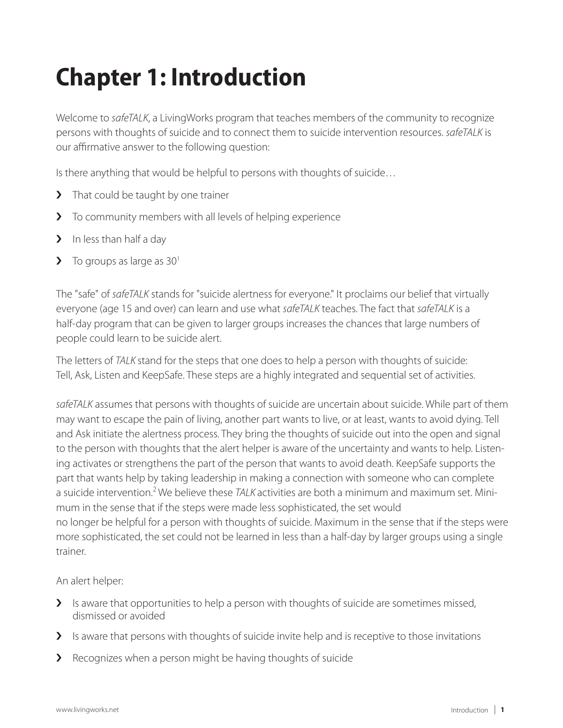# **Chapter 1: Introduction**

Welcome to *safeTALK*, a LivingWorks program that teaches members of the community to recognize persons with thoughts of suicide and to connect them to suicide intervention resources. *safeTALK* is our affirmative answer to the following question:

Is there anything that would be helpful to persons with thoughts of suicide…

- > That could be taught by one trainer
- > To community members with all levels of helping experience
- > In less than half a day
- $\blacktriangleright$  To groups as large as 30<sup>1</sup>

The "safe" of *safeTALK* stands for "suicide alertness for everyone." It proclaims our belief that virtually everyone (age 15 and over) can learn and use what *safeTALK* teaches. The fact that *safeTALK* is a half-day program that can be given to larger groups increases the chances that large numbers of people could learn to be suicide alert.

The letters of *TALK* stand for the steps that one does to help a person with thoughts of suicide: Tell, Ask, Listen and KeepSafe. These steps are a highly integrated and sequential set of activities.

*safeTALK* assumes that persons with thoughts of suicide are uncertain about suicide. While part of them may want to escape the pain of living, another part wants to live, or at least, wants to avoid dying. Tell and Ask initiate the alertness process. They bring the thoughts of suicide out into the open and signal to the person with thoughts that the alert helper is aware of the uncertainty and wants to help. Listening activates or strengthens the part of the person that wants to avoid death. KeepSafe supports the part that wants help by taking leadership in making a connection with someone who can complete a suicide intervention.2 We believe these *TALK* activities are both a minimum and maximum set. Minimum in the sense that if the steps were made less sophisticated, the set would no longer be helpful for a person with thoughts of suicide. Maximum in the sense that if the steps were more sophisticated, the set could not be learned in less than a half-day by larger groups using a single trainer.

An alert helper:

- > Is aware that opportunities to help a person with thoughts of suicide are sometimes missed, dismissed or avoided
- I Is aware that persons with thoughts of suicide invite help and is receptive to those invitations
- > Recognizes when a person might be having thoughts of suicide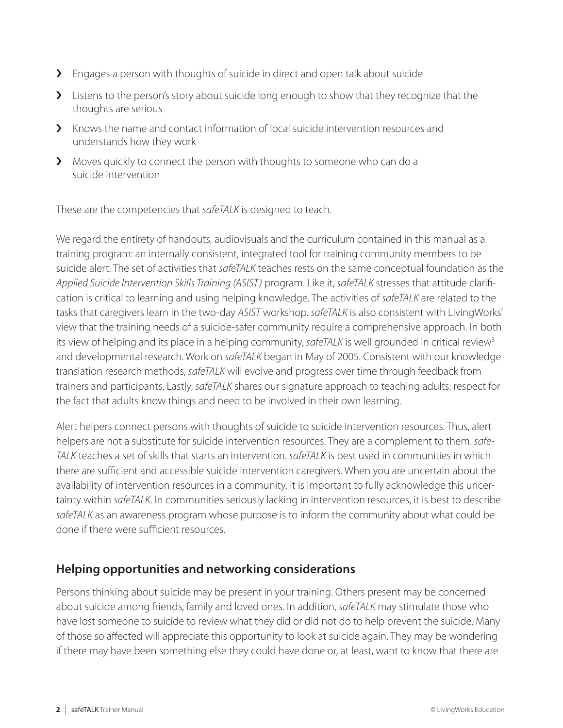- > Engages a person with thoughts of suicide in direct and open talk about suicide
- > Listens to the person's story about suicide long enough to show that they recognize that the thoughts are serious
- $\blacktriangleright$  Knows the name and contact information of local suicide intervention resources and understands how they work
- › Moves quickly to connect the person with thoughts to someone who can do a suicide intervention

These are the competencies that *safeTALK* is designed to teach.

We regard the entirety of handouts, audiovisuals and the curriculum contained in this manual as a training program: an internally consistent, integrated tool for training community members to be suicide alert. The set of activities that *safeTALK* teaches rests on the same conceptual foundation as the *Applied Suicide Intervention Skills Training (ASIST)* program. Like it, *safeTALK* stresses that attitude clarification is critical to learning and using helping knowledge. The activities of *safeTALK* are related to the tasks that caregivers learn in the two-day *ASIST* workshop. *safeTALK* is also consistent with LivingWorks' view that the training needs of a suicide-safer community require a comprehensive approach. In both its view of helping and its place in a helping community, *safeTALK* is well grounded in critical review<sup>3</sup> and developmental research. Work on *safeTALK* began in May of 2005. Consistent with our knowledge translation research methods, *safeTALK* will evolve and progress over time through feedback from trainers and participants. Lastly, *safeTALK* shares our signature approach to teaching adults: respect for the fact that adults know things and need to be involved in their own learning.

Alert helpers connect persons with thoughts of suicide to suicide intervention resources. Thus, alert helpers are not a substitute for suicide intervention resources. They are a complement to them. *safe-TALK* teaches a set of skills that starts an intervention. *safeTALK* is best used in communities in which there are sufficient and accessible suicide intervention caregivers. When you are uncertain about the availability of intervention resources in a community, it is important to fully acknowledge this uncertainty within *safeTALK*. In communities seriously lacking in intervention resources, it is best to describe *safeTALK* as an awareness program whose purpose is to inform the community about what could be done if there were sufficient resources.

## **Helping opportunities and networking considerations**

Persons thinking about suicide may be present in your training. Others present may be concerned about suicide among friends, family and loved ones. In addition, *safeTALK* may stimulate those who have lost someone to suicide to review what they did or did not do to help prevent the suicide. Many of those so affected will appreciate this opportunity to look at suicide again. They may be wondering if there may have been something else they could have done or, at least, want to know that there are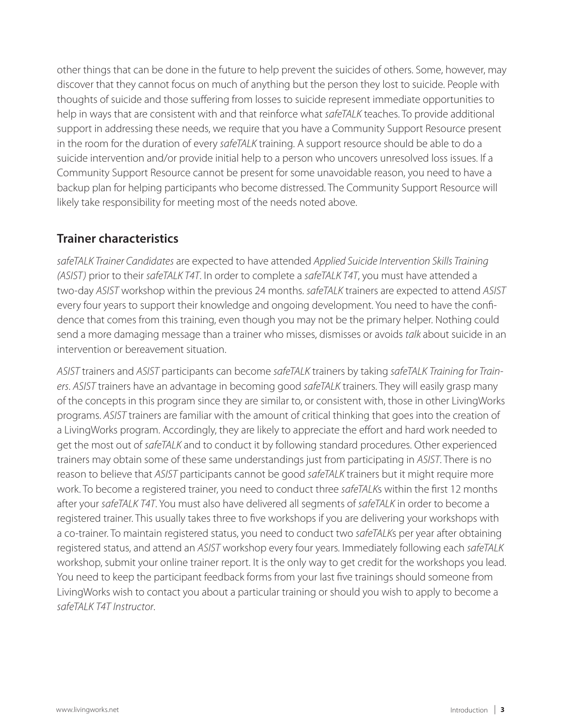other things that can be done in the future to help prevent the suicides of others. Some, however, may discover that they cannot focus on much of anything but the person they lost to suicide. People with thoughts of suicide and those suffering from losses to suicide represent immediate opportunities to help in ways that are consistent with and that reinforce what *safeTALK* teaches. To provide additional support in addressing these needs, we require that you have a Community Support Resource present in the room for the duration of every *safeTALK* training. A support resource should be able to do a suicide intervention and/or provide initial help to a person who uncovers unresolved loss issues. If a Community Support Resource cannot be present for some unavoidable reason, you need to have a backup plan for helping participants who become distressed. The Community Support Resource will likely take responsibility for meeting most of the needs noted above.

## **Trainer characteristics**

*safeTALK Trainer Candidates* are expected to have attended *Applied Suicide Intervention Skills Training (ASIST)* prior to their *safeTALK T4T*. In order to complete a *safeTALK T4T*, you must have attended a two-day *ASIST* workshop within the previous 24 months. *safeTALK* trainers are expected to attend *ASIST* every four years to support their knowledge and ongoing development. You need to have the confidence that comes from this training, even though you may not be the primary helper. Nothing could send a more damaging message than a trainer who misses, dismisses or avoids *talk* about suicide in an intervention or bereavement situation.

*ASIST* trainers and *ASIST* participants can become *safeTALK* trainers by taking *safeTALK Training for Trainers*. *ASIST* trainers have an advantage in becoming good *safeTALK* trainers. They will easily grasp many of the concepts in this program since they are similar to, or consistent with, those in other LivingWorks programs. *ASIST* trainers are familiar with the amount of critical thinking that goes into the creation of a LivingWorks program. Accordingly, they are likely to appreciate the effort and hard work needed to get the most out of *safeTALK* and to conduct it by following standard procedures. Other experienced trainers may obtain some of these same understandings just from participating in *ASIST*. There is no reason to believe that *ASIST* participants cannot be good *safeTALK* trainers but it might require more work. To become a registered trainer, you need to conduct three *safeTALK*s within the first 12 months after your *safeTALK T4T*. You must also have delivered all segments of *safeTALK* in order to become a registered trainer. This usually takes three to five workshops if you are delivering your workshops with a co-trainer. To maintain registered status, you need to conduct two *safeTALK*s per year after obtaining registered status, and attend an *ASIST* workshop every four years. Immediately following each *safeTALK* workshop, submit your online trainer report. It is the only way to get credit for the workshops you lead. You need to keep the participant feedback forms from your last five trainings should someone from LivingWorks wish to contact you about a particular training or should you wish to apply to become a *safeTALK T4T Instructor*.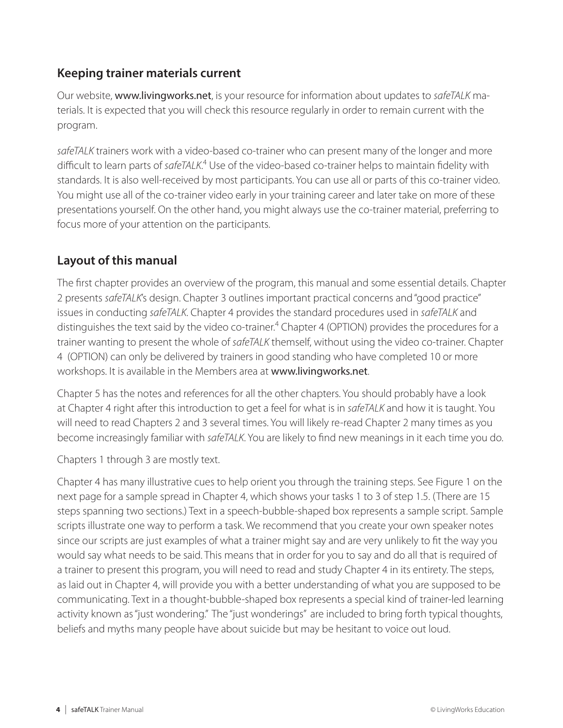## **Keeping trainer materials current**

Our website, www.livingworks.net, is your resource for information about updates to *safeTALK* materials. It is expected that you will check this resource regularly in order to remain current with the program.

*safeTALK* trainers work with a video-based co-trainer who can present many of the longer and more difficult to learn parts of safeTALK.<sup>4</sup> Use of the video-based co-trainer helps to maintain fidelity with standards. It is also well-received by most participants. You can use all or parts of this co-trainer video. You might use all of the co-trainer video early in your training career and later take on more of these presentations yourself. On the other hand, you might always use the co-trainer material, preferring to focus more of your attention on the participants.

## **Layout of this manual**

The first chapter provides an overview of the program, this manual and some essential details. Chapter 2 presents *safeTALK*'s design. Chapter 3 outlines important practical concerns and "good practice" issues in conducting *safeTALK*. Chapter 4 provides the standard procedures used in *safeTALK* and distinguishes the text said by the video co-trainer.<sup>4</sup> Chapter 4 (OPTION) provides the procedures for a trainer wanting to present the whole of *safeTALK* themself, without using the video co-trainer. Chapter 4 (OPTION) can only be delivered by trainers in good standing who have completed 10 or more workshops. It is available in the Members area at www.livingworks.net.

Chapter 5 has the notes and references for all the other chapters. You should probably have a look at Chapter 4 right after this introduction to get a feel for what is in *safeTALK* and how it is taught. You will need to read Chapters 2 and 3 several times. You will likely re-read Chapter 2 many times as you become increasingly familiar with *safeTALK*. You are likely to find new meanings in it each time you do.

Chapters 1 through 3 are mostly text.

Chapter 4 has many illustrative cues to help orient you through the training steps. See Figure 1 on the next page for a sample spread in Chapter 4, which shows your tasks 1 to 3 of step 1.5. (There are 15 steps spanning two sections.) Text in a speech-bubble-shaped box represents a sample script. Sample scripts illustrate one way to perform a task. We recommend that you create your own speaker notes since our scripts are just examples of what a trainer might say and are very unlikely to fit the way you would say what needs to be said. This means that in order for you to say and do all that is required of a trainer to present this program, you will need to read and study Chapter 4 in its entirety. The steps, as laid out in Chapter 4, will provide you with a better understanding of what you are supposed to be communicating. Text in a thought-bubble-shaped box represents a special kind of trainer-led learning activity known as "just wondering." The "just wonderings" are included to bring forth typical thoughts, beliefs and myths many people have about suicide but may be hesitant to voice out loud.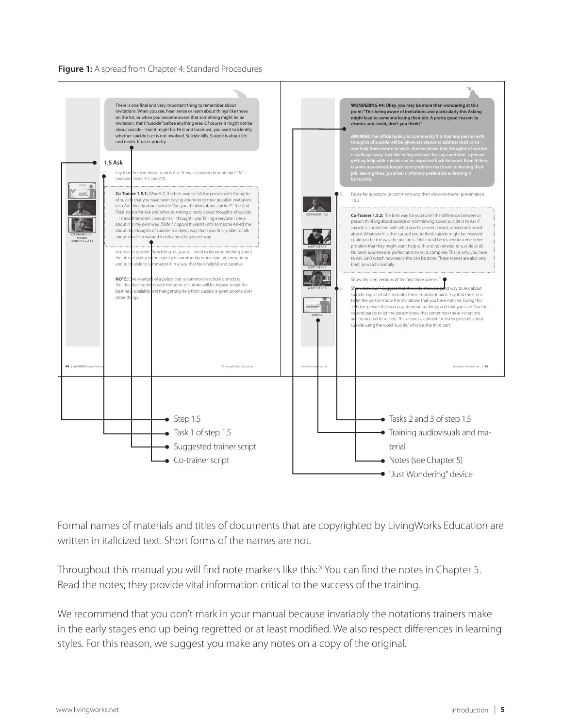#### **Figure 1:** A spread from Chapter 4: Standard Procedures



Formal names of materials and titles of documents that are copyrighted by LivingWorks Education are written in italicized text. Short forms of the names are not.

Throughout this manual you will find note markers like this: <sup>X</sup> You can find the notes in Chapter 5. Read the notes; they provide vital information critical to the success of the training.

We recommend that you don't mark in your manual because invariably the notations trainers make in the early stages end up being regretted or at least modified. We also respect differences in learning styles. For this reason, we suggest you make any notes on a copy of the original.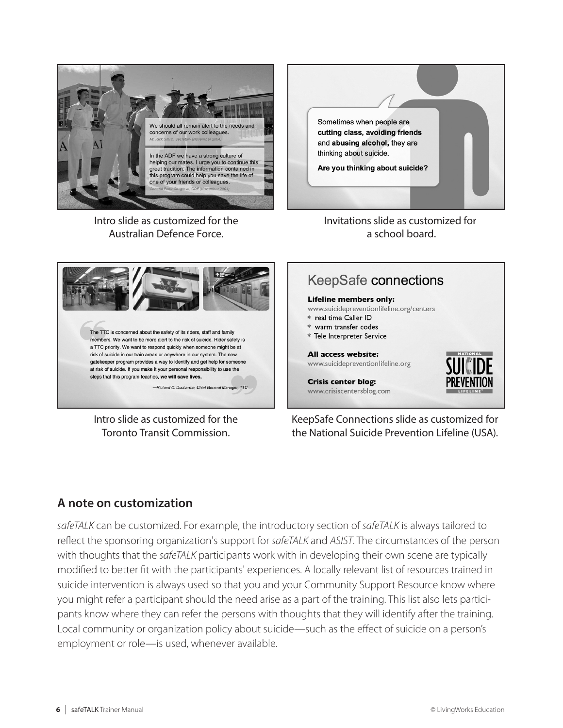

Intro slide as customized for the Australian Defence Force.



Invitations slide as customized for a school board.



Intro slide as customized for the Toronto Transit Commission.

**KeepSafe connections** 

#### **Lifeline members only:**

www.suicidepreventionlifeline.org/centers

- \* real time Caller ID
- \* warm transfer codes
- \* Tele Interpreter Service

#### All access website:

www.suicidepreventionlifeline.org



**Crisis center blog:** www.crisiscentersblog.com

KeepSafe Connections slide as customized for the National Suicide Prevention Lifeline (USA).

## **A note on customization**

*safeTALK* can be customized. For example, the introductory section of *safeTALK* is always tailored to reflect the sponsoring organization's support for *safeTALK* and *ASIST*. The circumstances of the person with thoughts that the *safeTALK* participants work with in developing their own scene are typically modified to better fit with the participants' experiences. A locally relevant list of resources trained in suicide intervention is always used so that you and your Community Support Resource know where you might refer a participant should the need arise as a part of the training. This list also lets participants know where they can refer the persons with thoughts that they will identify after the training. Local community or organization policy about suicide—such as the effect of suicide on a person's employment or role—is used, whenever available.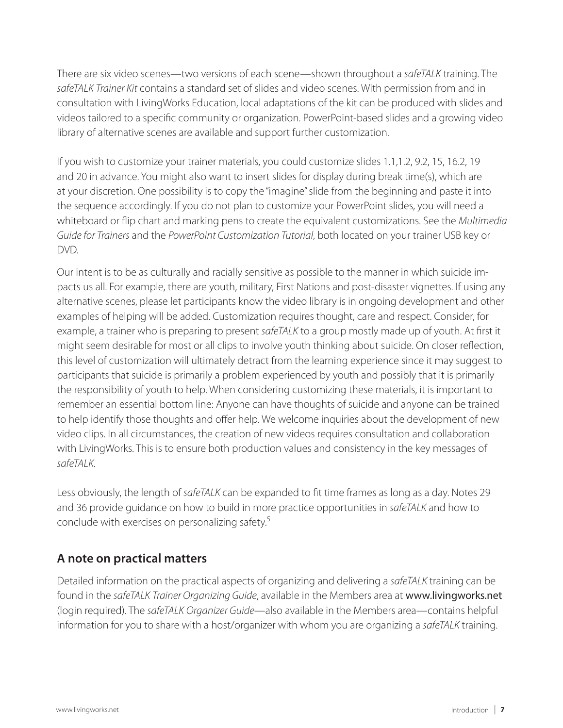There are six video scenes—two versions of each scene—shown throughout a *safeTALK* training. The *safeTALK Trainer Kit* contains a standard set of slides and video scenes. With permission from and in consultation with LivingWorks Education, local adaptations of the kit can be produced with slides and videos tailored to a specific community or organization. PowerPoint-based slides and a growing video library of alternative scenes are available and support further customization.

If you wish to customize your trainer materials, you could customize slides 1.1,1.2, 9.2, 15, 16.2, 19 and 20 in advance. You might also want to insert slides for display during break time(s), which are at your discretion. One possibility is to copy the "imagine" slide from the beginning and paste it into the sequence accordingly. If you do not plan to customize your PowerPoint slides, you will need a whiteboard or flip chart and marking pens to create the equivalent customizations. See the *Multimedia Guide for Trainers* and the *PowerPoint Customization Tutorial*, both located on your trainer USB key or DVD.

Our intent is to be as culturally and racially sensitive as possible to the manner in which suicide impacts us all. For example, there are youth, military, First Nations and post-disaster vignettes. If using any alternative scenes, please let participants know the video library is in ongoing development and other examples of helping will be added. Customization requires thought, care and respect. Consider, for example, a trainer who is preparing to present *safeTALK* to a group mostly made up of youth. At first it might seem desirable for most or all clips to involve youth thinking about suicide. On closer reflection, this level of customization will ultimately detract from the learning experience since it may suggest to participants that suicide is primarily a problem experienced by youth and possibly that it is primarily the responsibility of youth to help. When considering customizing these materials, it is important to remember an essential bottom line: Anyone can have thoughts of suicide and anyone can be trained to help identify those thoughts and offer help. We welcome inquiries about the development of new video clips. In all circumstances, the creation of new videos requires consultation and collaboration with LivingWorks. This is to ensure both production values and consistency in the key messages of *safeTALK*.

Less obviously, the length of *safeTALK* can be expanded to fit time frames as long as a day. Notes 29 and 36 provide guidance on how to build in more practice opportunities in *safeTALK* and how to conclude with exercises on personalizing safety.5

## **A note on practical matters**

Detailed information on the practical aspects of organizing and delivering a *safeTALK* training can be found in the *safeTALK Trainer Organizing Guide*, available in the Members area at www.livingworks.net (login required). The *safeTALK Organizer Guide*—also available in the Members area—contains helpful information for you to share with a host/organizer with whom you are organizing a *safeTALK* training.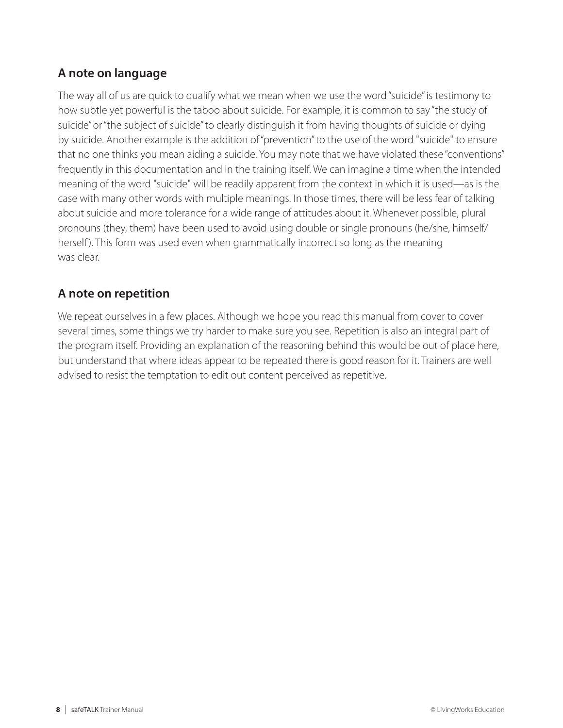## **A note on language**

The way all of us are quick to qualify what we mean when we use the word "suicide" is testimony to how subtle yet powerful is the taboo about suicide. For example, it is common to say "the study of suicide" or "the subject of suicide" to clearly distinguish it from having thoughts of suicide or dying by suicide. Another example is the addition of "prevention" to the use of the word "suicide" to ensure that no one thinks you mean aiding a suicide. You may note that we have violated these "conventions" frequently in this documentation and in the training itself. We can imagine a time when the intended meaning of the word "suicide" will be readily apparent from the context in which it is used—as is the case with many other words with multiple meanings. In those times, there will be less fear of talking about suicide and more tolerance for a wide range of attitudes about it. Whenever possible, plural pronouns (they, them) have been used to avoid using double or single pronouns (he/she, himself/ herself). This form was used even when grammatically incorrect so long as the meaning was clear.

## **A note on repetition**

We repeat ourselves in a few places. Although we hope you read this manual from cover to cover several times, some things we try harder to make sure you see. Repetition is also an integral part of the program itself. Providing an explanation of the reasoning behind this would be out of place here, but understand that where ideas appear to be repeated there is good reason for it. Trainers are well advised to resist the temptation to edit out content perceived as repetitive.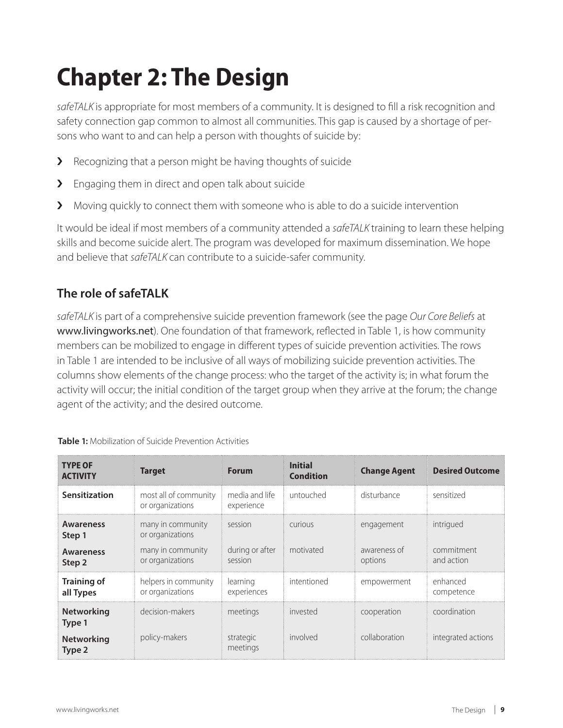# **Chapter 2: The Design**

*safeTALK* is appropriate for most members of a community. It is designed to fill a risk recognition and safety connection gap common to almost all communities. This gap is caused by a shortage of persons who want to and can help a person with thoughts of suicide by:

- > Recognizing that a person might be having thoughts of suicide
- > Engaging them in direct and open talk about suicide
- > Moving quickly to connect them with someone who is able to do a suicide intervention

It would be ideal if most members of a community attended a *safeTALK* training to learn these helping skills and become suicide alert. The program was developed for maximum dissemination. We hope and believe that *safeTALK* can contribute to a suicide-safer community.

## **The role of safeTALK**

*safeTALK* is part of a comprehensive suicide prevention framework (see the page *Our Core Beliefs* at www.livingworks.net). One foundation of that framework, reflected in Table 1, is how community members can be mobilized to engage in different types of suicide prevention activities. The rows in Table 1 are intended to be inclusive of all ways of mobilizing suicide prevention activities. The columns show elements of the change process: who the target of the activity is; in what forum the activity will occur; the initial condition of the target group when they arrive at the forum; the change agent of the activity; and the desired outcome.

| <b>TYPE OF</b><br><b>ACTIVITY</b> | <b>Target</b>                             | <b>Forum</b>                 | <b>Initial</b><br><b>Condition</b> | <b>Change Agent</b>     | <b>Desired Outcome</b>   |
|-----------------------------------|-------------------------------------------|------------------------------|------------------------------------|-------------------------|--------------------------|
| Sensitization                     | most all of community<br>or organizations | media and life<br>experience | untouched                          | disturbance             | sensitized               |
| <b>Awareness</b><br>Step 1        | many in community<br>or organizations     | session                      | curious                            | engagement              | intrigued                |
| <b>Awareness</b><br>Step 2        | many in community<br>or organizations     | during or after<br>session   | motivated                          | awareness of<br>options | commitment<br>and action |
| <b>Training of</b><br>all Types   | helpers in community<br>or organizations  | learning<br>experiences      | intentioned                        | empowerment             | enhanced<br>competence   |
| <b>Networking</b><br>Type 1       | decision-makers                           | meetings                     | invested                           | cooperation             | coordination             |
| <b>Networking</b><br>Type 2       | policy-makers                             | strategic<br>meetings        | involved                           | collaboration           | integrated actions       |

**Table 1:** Mobilization of Suicide Prevention Activities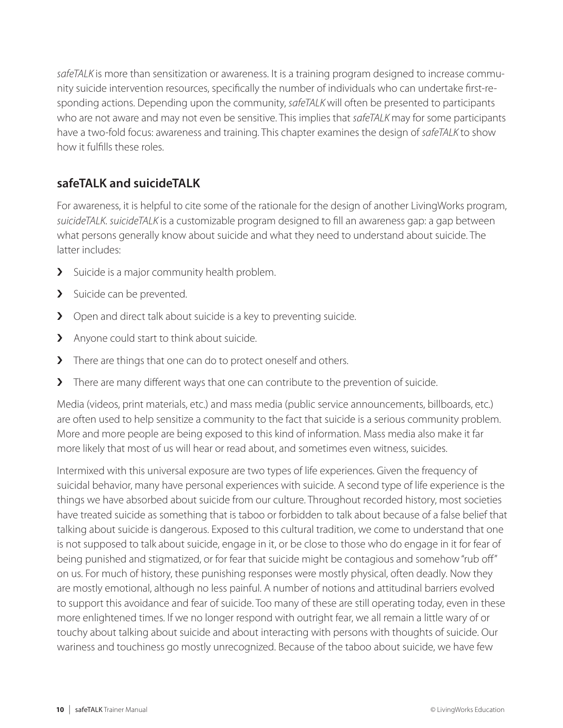*safeTALK* is more than sensitization or awareness. It is a training program designed to increase community suicide intervention resources, specifically the number of individuals who can undertake first-responding actions. Depending upon the community, *safeTALK* will often be presented to participants who are not aware and may not even be sensitive. This implies that *safeTALK* may for some participants have a two-fold focus: awareness and training. This chapter examines the design of *safeTALK* to show how it fulfills these roles.

## **safeTALK and suicideTALK**

For awareness, it is helpful to cite some of the rationale for the design of another LivingWorks program, *suicideTALK*. *suicideTALK* is a customizable program designed to fill an awareness gap: a gap between what persons generally know about suicide and what they need to understand about suicide. The latter includes:

- > Suicide is a major community health problem.
- > Suicide can be prevented.
- > Open and direct talk about suicide is a key to preventing suicide.
- > Anyone could start to think about suicide.
- › There are things that one can do to protect oneself and others.
- > There are many different ways that one can contribute to the prevention of suicide.

Media (videos, print materials, etc.) and mass media (public service announcements, billboards, etc.) are often used to help sensitize a community to the fact that suicide is a serious community problem. More and more people are being exposed to this kind of information. Mass media also make it far more likely that most of us will hear or read about, and sometimes even witness, suicides.

Intermixed with this universal exposure are two types of life experiences. Given the frequency of suicidal behavior, many have personal experiences with suicide. A second type of life experience is the things we have absorbed about suicide from our culture. Throughout recorded history, most societies have treated suicide as something that is taboo or forbidden to talk about because of a false belief that talking about suicide is dangerous. Exposed to this cultural tradition, we come to understand that one is not supposed to talk about suicide, engage in it, or be close to those who do engage in it for fear of being punished and stigmatized, or for fear that suicide might be contagious and somehow "rub off" on us. For much of history, these punishing responses were mostly physical, often deadly. Now they are mostly emotional, although no less painful. A number of notions and attitudinal barriers evolved to support this avoidance and fear of suicide. Too many of these are still operating today, even in these more enlightened times. If we no longer respond with outright fear, we all remain a little wary of or touchy about talking about suicide and about interacting with persons with thoughts of suicide. Our wariness and touchiness go mostly unrecognized. Because of the taboo about suicide, we have few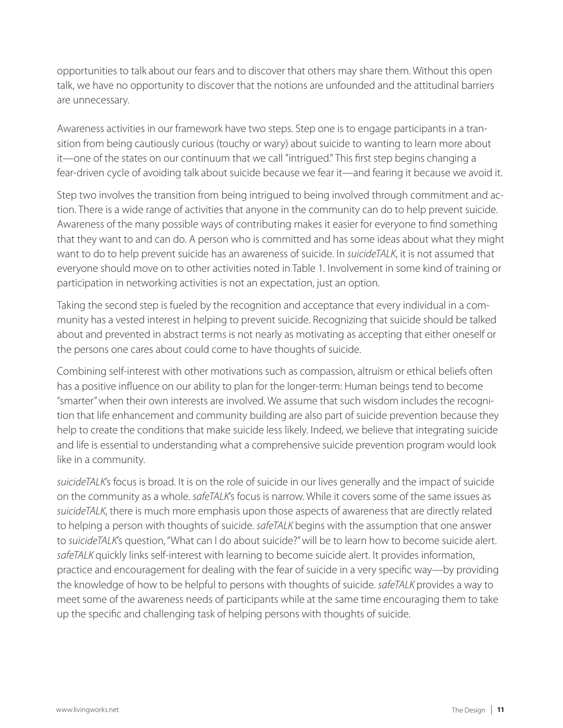opportunities to talk about our fears and to discover that others may share them. Without this open talk, we have no opportunity to discover that the notions are unfounded and the attitudinal barriers are unnecessary.

Awareness activities in our framework have two steps. Step one is to engage participants in a transition from being cautiously curious (touchy or wary) about suicide to wanting to learn more about it—one of the states on our continuum that we call "intrigued." This first step begins changing a fear-driven cycle of avoiding talk about suicide because we fear it—and fearing it because we avoid it.

Step two involves the transition from being intrigued to being involved through commitment and action. There is a wide range of activities that anyone in the community can do to help prevent suicide. Awareness of the many possible ways of contributing makes it easier for everyone to find something that they want to and can do. A person who is committed and has some ideas about what they might want to do to help prevent suicide has an awareness of suicide. In *suicideTALK*, it is not assumed that everyone should move on to other activities noted in Table 1. Involvement in some kind of training or participation in networking activities is not an expectation, just an option.

Taking the second step is fueled by the recognition and acceptance that every individual in a community has a vested interest in helping to prevent suicide. Recognizing that suicide should be talked about and prevented in abstract terms is not nearly as motivating as accepting that either oneself or the persons one cares about could come to have thoughts of suicide.

Combining self-interest with other motivations such as compassion, altruism or ethical beliefs often has a positive influence on our ability to plan for the longer-term: Human beings tend to become "smarter" when their own interests are involved. We assume that such wisdom includes the recognition that life enhancement and community building are also part of suicide prevention because they help to create the conditions that make suicide less likely. Indeed, we believe that integrating suicide and life is essential to understanding what a comprehensive suicide prevention program would look like in a community.

*suicideTALK*'s focus is broad. It is on the role of suicide in our lives generally and the impact of suicide on the community as a whole. *safeTALK*'s focus is narrow. While it covers some of the same issues as *suicideTALK*, there is much more emphasis upon those aspects of awareness that are directly related to helping a person with thoughts of suicide. *safeTALK* begins with the assumption that one answer to *suicideTALK*'s question, "What can I do about suicide?" will be to learn how to become suicide alert. *safeTALK* quickly links self-interest with learning to become suicide alert. It provides information, practice and encouragement for dealing with the fear of suicide in a very specific way—by providing the knowledge of how to be helpful to persons with thoughts of suicide. *safeTALK* provides a way to meet some of the awareness needs of participants while at the same time encouraging them to take up the specific and challenging task of helping persons with thoughts of suicide.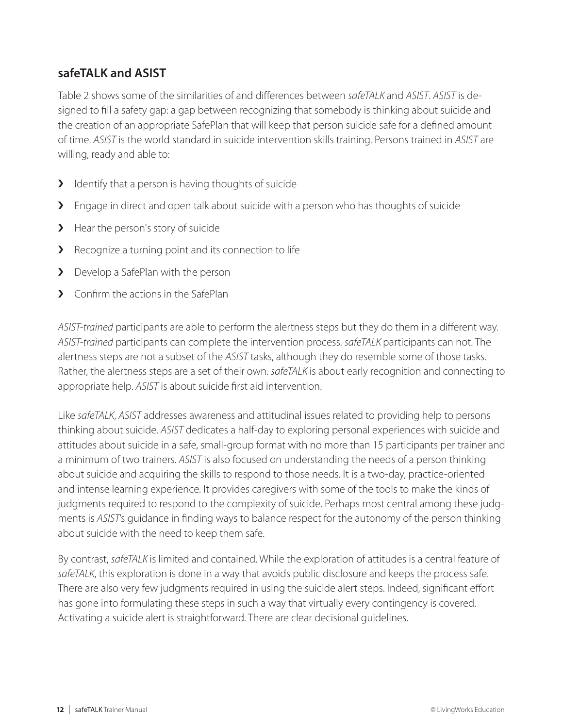## **safeTALK and ASIST**

Table 2 shows some of the similarities of and differences between *safeTALK* and *ASIST*. *ASIST* is designed to fill a safety gap: a gap between recognizing that somebody is thinking about suicide and the creation of an appropriate SafePlan that will keep that person suicide safe for a defined amount of time. *ASIST* is the world standard in suicide intervention skills training. Persons trained in *ASIST* are willing, ready and able to:

- **>** Identify that a person is having thoughts of suicide
- > Engage in direct and open talk about suicide with a person who has thoughts of suicide
- > Hear the person's story of suicide
- > Recognize a turning point and its connection to life
- > Develop a SafePlan with the person
- **>** Confirm the actions in the SafePlan

*ASIST-trained* participants are able to perform the alertness steps but they do them in a different way. *ASIST-trained* participants can complete the intervention process. *safeTALK* participants can not. The alertness steps are not a subset of the *ASIST* tasks, although they do resemble some of those tasks. Rather, the alertness steps are a set of their own. *safeTALK* is about early recognition and connecting to appropriate help. *ASIST* is about suicide first aid intervention.

Like *safeTALK*, *ASIST* addresses awareness and attitudinal issues related to providing help to persons thinking about suicide. *ASIST* dedicates a half-day to exploring personal experiences with suicide and attitudes about suicide in a safe, small-group format with no more than 15 participants per trainer and a minimum of two trainers. *ASIST* is also focused on understanding the needs of a person thinking about suicide and acquiring the skills to respond to those needs. It is a two-day, practice-oriented and intense learning experience. It provides caregivers with some of the tools to make the kinds of judgments required to respond to the complexity of suicide. Perhaps most central among these judgments is *ASIST*'s guidance in finding ways to balance respect for the autonomy of the person thinking about suicide with the need to keep them safe.

By contrast, *safeTALK* is limited and contained. While the exploration of attitudes is a central feature of *safeTALK*, this exploration is done in a way that avoids public disclosure and keeps the process safe. There are also very few judgments required in using the suicide alert steps. Indeed, significant effort has gone into formulating these steps in such a way that virtually every contingency is covered. Activating a suicide alert is straightforward. There are clear decisional guidelines.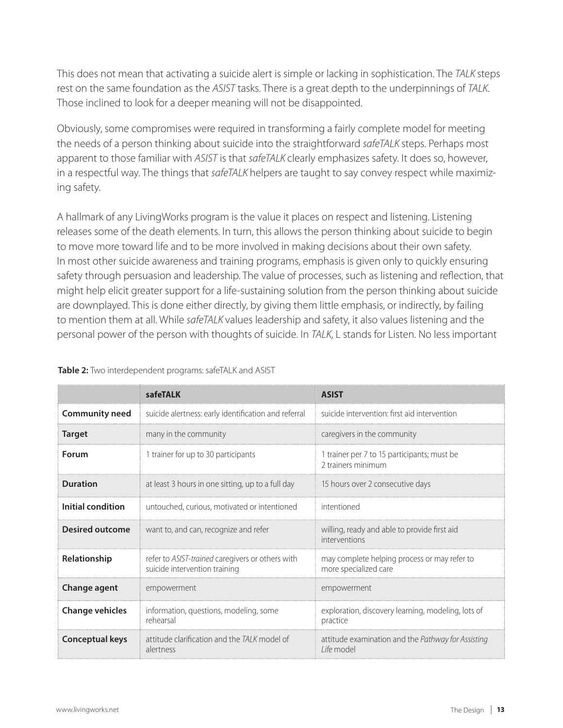This does not mean that activating a suicide alert is simple or lacking in sophistication. The *TALK* steps rest on the same foundation as the *ASIST* tasks. There is a great depth to the underpinnings of *TALK*. Those inclined to look for a deeper meaning will not be disappointed.

Obviously, some compromises were required in transforming a fairly complete model for meeting the needs of a person thinking about suicide into the straightforward *safeTALK* steps. Perhaps most apparent to those familiar with *ASIST* is that *safeTALK* clearly emphasizes safety. It does so, however, in a respectful way. The things that *safeTALK* helpers are taught to say convey respect while maximizing safety.

A hallmark of any LivingWorks program is the value it places on respect and listening. Listening releases some of the death elements. In turn, this allows the person thinking about suicide to begin to move more toward life and to be more involved in making decisions about their own safety. In most other suicide awareness and training programs, emphasis is given only to quickly ensuring safety through persuasion and leadership. The value of processes, such as listening and reflection, that might help elicit greater support for a life-sustaining solution from the person thinking about suicide are downplayed. This is done either directly, by giving them little emphasis, or indirectly, by failing to mention them at all. While *safeTALK* values leadership and safety, it also values listening and the personal power of the person with thoughts of suicide. In *TALK*, L stands for Listen. No less important

|                        | safeTALK                                                                          | <b>ASIST</b>                                                          |  |
|------------------------|-----------------------------------------------------------------------------------|-----------------------------------------------------------------------|--|
| <b>Community need</b>  | suicide alertness: early identification and referral                              | suicide intervention: first aid intervention                          |  |
| Target                 | many in the community                                                             | caregivers in the community                                           |  |
| Forum                  | 1 trainer for up to 30 participants                                               | 1 trainer per 7 to 15 participants; must be<br>2 trainers minimum     |  |
| <b>Duration</b>        | at least 3 hours in one sitting, up to a full day                                 | 15 hours over 2 consecutive days                                      |  |
| Initial condition      | untouched, curious, motivated or intentioned                                      | intentioned                                                           |  |
| <b>Desired outcome</b> | want to, and can, recognize and refer                                             | willing, ready and able to provide first aid<br>interventions         |  |
| Relationship           | refer to ASIST-trained caregivers or others with<br>suicide intervention training | may complete helping process or may refer to<br>more specialized care |  |
| Change agent           | empowerment                                                                       | empowerment                                                           |  |
| <b>Change vehicles</b> | information, questions, modeling, some<br>rehearsal                               | exploration, discovery learning, modeling, lots of<br>practice        |  |
| <b>Conceptual keys</b> | attitude clarification and the TAIK model of<br>alertness                         | attitude examination and the Pathway for Assisting<br>Life model      |  |

#### **Table 2:** Two interdependent programs: safeTALK and ASIST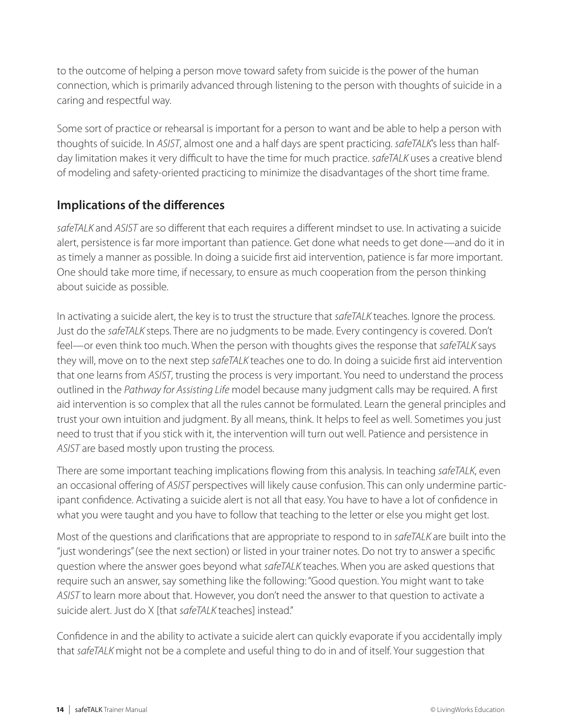to the outcome of helping a person move toward safety from suicide is the power of the human connection, which is primarily advanced through listening to the person with thoughts of suicide in a caring and respectful way.

Some sort of practice or rehearsal is important for a person to want and be able to help a person with thoughts of suicide. In *ASIST*, almost one and a half days are spent practicing. *safeTALK*'s less than halfday limitation makes it very difficult to have the time for much practice. *safeTALK* uses a creative blend of modeling and safety-oriented practicing to minimize the disadvantages of the short time frame.

## **Implications of the differences**

*safeTALK* and *ASIST* are so different that each requires a different mindset to use. In activating a suicide alert, persistence is far more important than patience. Get done what needs to get done—and do it in as timely a manner as possible. In doing a suicide first aid intervention, patience is far more important. One should take more time, if necessary, to ensure as much cooperation from the person thinking about suicide as possible.

In activating a suicide alert, the key is to trust the structure that *safeTALK* teaches. Ignore the process. Just do the *safeTALK* steps. There are no judgments to be made. Every contingency is covered. Don't feel—or even think too much. When the person with thoughts gives the response that *safeTALK* says they will, move on to the next step *safeTALK* teaches one to do. In doing a suicide first aid intervention that one learns from *ASIST*, trusting the process is very important. You need to understand the process outlined in the *Pathway for Assisting Life* model because many judgment calls may be required. A first aid intervention is so complex that all the rules cannot be formulated. Learn the general principles and trust your own intuition and judgment. By all means, think. It helps to feel as well. Sometimes you just need to trust that if you stick with it, the intervention will turn out well. Patience and persistence in *ASIST* are based mostly upon trusting the process.

There are some important teaching implications flowing from this analysis. In teaching *safeTALK*, even an occasional offering of *ASIST* perspectives will likely cause confusion. This can only undermine participant confidence. Activating a suicide alert is not all that easy. You have to have a lot of confidence in what you were taught and you have to follow that teaching to the letter or else you might get lost.

Most of the questions and clarifications that are appropriate to respond to in *safeTALK* are built into the "just wonderings" (see the next section) or listed in your trainer notes. Do not try to answer a specific question where the answer goes beyond what *safeTALK* teaches. When you are asked questions that require such an answer, say something like the following: "Good question. You might want to take *ASIST* to learn more about that. However, you don't need the answer to that question to activate a suicide alert. Just do X [that *safeTALK* teaches] instead."

Confidence in and the ability to activate a suicide alert can quickly evaporate if you accidentally imply that *safeTALK* might not be a complete and useful thing to do in and of itself. Your suggestion that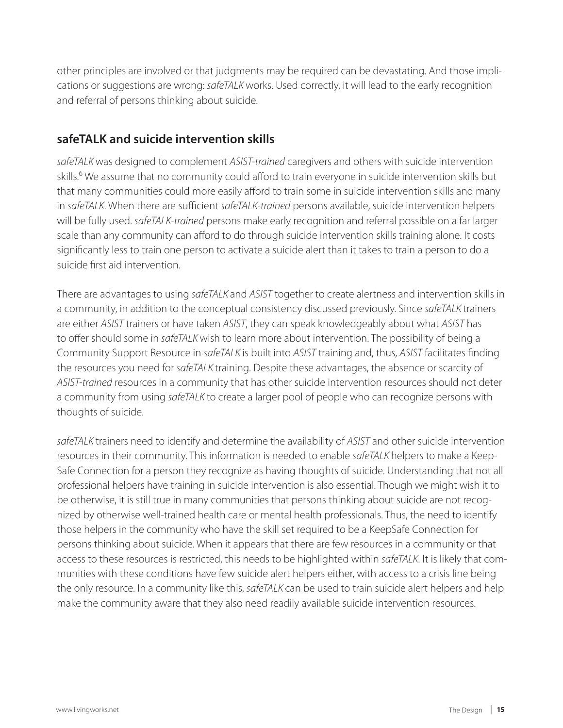other principles are involved or that judgments may be required can be devastating. And those implications or suggestions are wrong: *safeTALK* works. Used correctly, it will lead to the early recognition and referral of persons thinking about suicide.

## **safeTALK and suicide intervention skills**

*safeTALK* was designed to complement *ASIST-trained* caregivers and others with suicide intervention skills.<sup>6</sup> We assume that no community could afford to train everyone in suicide intervention skills but that many communities could more easily afford to train some in suicide intervention skills and many in *safeTALK*. When there are sufficient *safeTALK-trained* persons available, suicide intervention helpers will be fully used. *safeTALK-trained* persons make early recognition and referral possible on a far larger scale than any community can afford to do through suicide intervention skills training alone. It costs significantly less to train one person to activate a suicide alert than it takes to train a person to do a suicide first aid intervention.

There are advantages to using *safeTALK* and *ASIST* together to create alertness and intervention skills in a community, in addition to the conceptual consistency discussed previously. Since *safeTALK* trainers are either *ASIST* trainers or have taken *ASIST*, they can speak knowledgeably about what *ASIST* has to offer should some in *safeTALK* wish to learn more about intervention. The possibility of being a Community Support Resource in *safeTALK* is built into *ASIST* training and, thus, *ASIST* facilitates finding the resources you need for *safeTALK* training. Despite these advantages, the absence or scarcity of *ASIST-trained* resources in a community that has other suicide intervention resources should not deter a community from using *safeTALK* to create a larger pool of people who can recognize persons with thoughts of suicide.

*safeTALK* trainers need to identify and determine the availability of *ASIST* and other suicide intervention resources in their community. This information is needed to enable *safeTALK* helpers to make a Keep-Safe Connection for a person they recognize as having thoughts of suicide. Understanding that not all professional helpers have training in suicide intervention is also essential. Though we might wish it to be otherwise, it is still true in many communities that persons thinking about suicide are not recognized by otherwise well-trained health care or mental health professionals. Thus, the need to identify those helpers in the community who have the skill set required to be a KeepSafe Connection for persons thinking about suicide. When it appears that there are few resources in a community or that access to these resources is restricted, this needs to be highlighted within *safeTALK*. It is likely that communities with these conditions have few suicide alert helpers either, with access to a crisis line being the only resource. In a community like this, *safeTALK* can be used to train suicide alert helpers and help make the community aware that they also need readily available suicide intervention resources.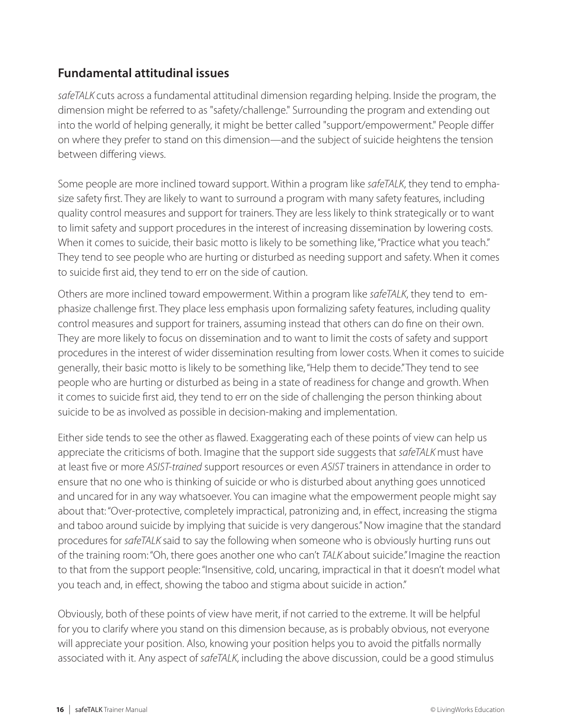## **Fundamental attitudinal issues**

*safeTALK* cuts across a fundamental attitudinal dimension regarding helping. Inside the program, the dimension might be referred to as "safety/challenge." Surrounding the program and extending out into the world of helping generally, it might be better called "support/empowerment." People differ on where they prefer to stand on this dimension—and the subject of suicide heightens the tension between differing views.

Some people are more inclined toward support. Within a program like *safeTALK*, they tend to emphasize safety first. They are likely to want to surround a program with many safety features, including quality control measures and support for trainers. They are less likely to think strategically or to want to limit safety and support procedures in the interest of increasing dissemination by lowering costs. When it comes to suicide, their basic motto is likely to be something like, "Practice what you teach." They tend to see people who are hurting or disturbed as needing support and safety. When it comes to suicide first aid, they tend to err on the side of caution.

Others are more inclined toward empowerment. Within a program like *safeTALK*, they tend to emphasize challenge first. They place less emphasis upon formalizing safety features, including quality control measures and support for trainers, assuming instead that others can do fine on their own. They are more likely to focus on dissemination and to want to limit the costs of safety and support procedures in the interest of wider dissemination resulting from lower costs. When it comes to suicide generally, their basic motto is likely to be something like, "Help them to decide." They tend to see people who are hurting or disturbed as being in a state of readiness for change and growth. When it comes to suicide first aid, they tend to err on the side of challenging the person thinking about suicide to be as involved as possible in decision-making and implementation.

Either side tends to see the other as flawed. Exaggerating each of these points of view can help us appreciate the criticisms of both. Imagine that the support side suggests that *safeTALK* must have at least five or more *ASIST-trained* support resources or even *ASIST* trainers in attendance in order to ensure that no one who is thinking of suicide or who is disturbed about anything goes unnoticed and uncared for in any way whatsoever. You can imagine what the empowerment people might say about that: "Over-protective, completely impractical, patronizing and, in effect, increasing the stigma and taboo around suicide by implying that suicide is very dangerous." Now imagine that the standard procedures for *safeTALK* said to say the following when someone who is obviously hurting runs out of the training room: "Oh, there goes another one who can't *TALK* about suicide." Imagine the reaction to that from the support people: "Insensitive, cold, uncaring, impractical in that it doesn't model what you teach and, in effect, showing the taboo and stigma about suicide in action."

Obviously, both of these points of view have merit, if not carried to the extreme. It will be helpful for you to clarify where you stand on this dimension because, as is probably obvious, not everyone will appreciate your position. Also, knowing your position helps you to avoid the pitfalls normally associated with it. Any aspect of *safeTALK*, including the above discussion, could be a good stimulus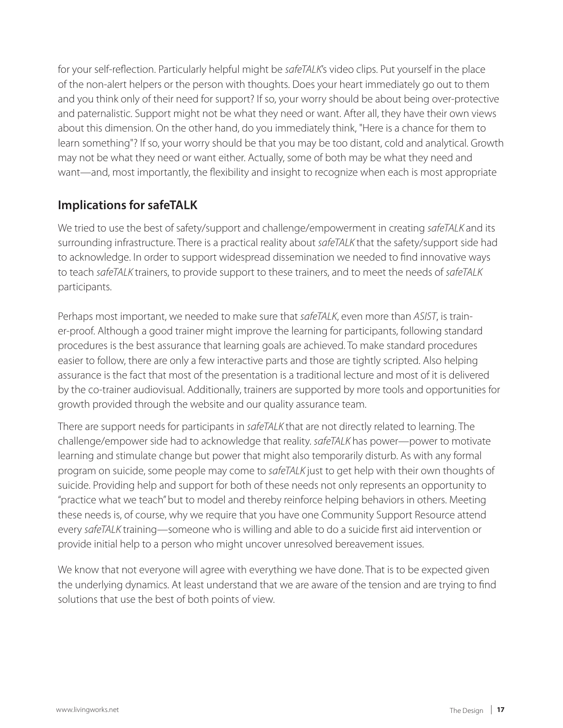for your self-reflection. Particularly helpful might be *safeTALK*'s video clips. Put yourself in the place of the non-alert helpers or the person with thoughts. Does your heart immediately go out to them and you think only of their need for support? If so, your worry should be about being over-protective and paternalistic. Support might not be what they need or want. After all, they have their own views about this dimension. On the other hand, do you immediately think, "Here is a chance for them to learn something"? If so, your worry should be that you may be too distant, cold and analytical. Growth may not be what they need or want either. Actually, some of both may be what they need and want—and, most importantly, the flexibility and insight to recognize when each is most appropriate

## **Implications for safeTALK**

We tried to use the best of safety/support and challenge/empowerment in creating *safeTALK* and its surrounding infrastructure. There is a practical reality about *safeTALK* that the safety/support side had to acknowledge. In order to support widespread dissemination we needed to find innovative ways to teach *safeTALK* trainers, to provide support to these trainers, and to meet the needs of *safeTALK*  participants.

Perhaps most important, we needed to make sure that *safeTALK*, even more than *ASIST*, is trainer-proof. Although a good trainer might improve the learning for participants, following standard procedures is the best assurance that learning goals are achieved. To make standard procedures easier to follow, there are only a few interactive parts and those are tightly scripted. Also helping assurance is the fact that most of the presentation is a traditional lecture and most of it is delivered by the co-trainer audiovisual. Additionally, trainers are supported by more tools and opportunities for growth provided through the website and our quality assurance team.

There are support needs for participants in *safeTALK* that are not directly related to learning. The challenge/empower side had to acknowledge that reality. *safeTALK* has power—power to motivate learning and stimulate change but power that might also temporarily disturb. As with any formal program on suicide, some people may come to *safeTALK* just to get help with their own thoughts of suicide. Providing help and support for both of these needs not only represents an opportunity to "practice what we teach" but to model and thereby reinforce helping behaviors in others. Meeting these needs is, of course, why we require that you have one Community Support Resource attend every *safeTALK* training—someone who is willing and able to do a suicide first aid intervention or provide initial help to a person who might uncover unresolved bereavement issues.

We know that not everyone will agree with everything we have done. That is to be expected given the underlying dynamics. At least understand that we are aware of the tension and are trying to find solutions that use the best of both points of view.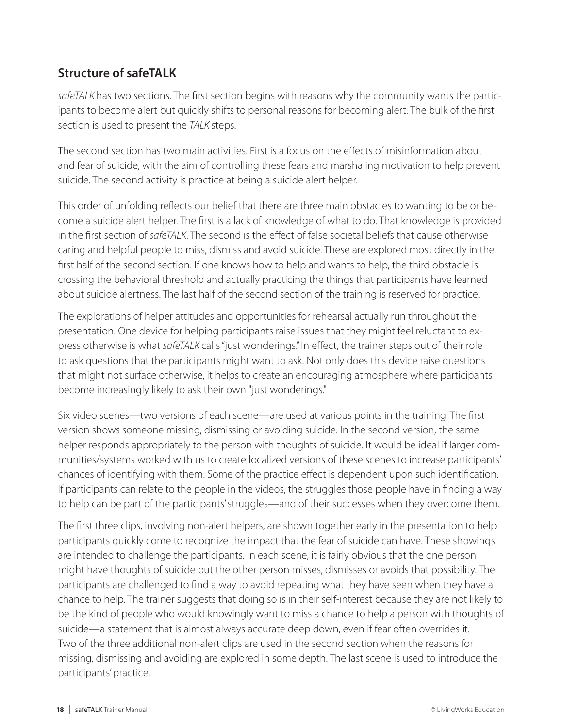## **Structure of safeTALK**

*safeTALK* has two sections. The first section begins with reasons why the community wants the participants to become alert but quickly shifts to personal reasons for becoming alert. The bulk of the first section is used to present the *TALK* steps.

The second section has two main activities. First is a focus on the effects of misinformation about and fear of suicide, with the aim of controlling these fears and marshaling motivation to help prevent suicide. The second activity is practice at being a suicide alert helper.

This order of unfolding reflects our belief that there are three main obstacles to wanting to be or become a suicide alert helper. The first is a lack of knowledge of what to do. That knowledge is provided in the first section of *safeTALK*. The second is the effect of false societal beliefs that cause otherwise caring and helpful people to miss, dismiss and avoid suicide. These are explored most directly in the first half of the second section. If one knows how to help and wants to help, the third obstacle is crossing the behavioral threshold and actually practicing the things that participants have learned about suicide alertness. The last half of the second section of the training is reserved for practice.

The explorations of helper attitudes and opportunities for rehearsal actually run throughout the presentation. One device for helping participants raise issues that they might feel reluctant to express otherwise is what *safeTALK* calls "just wonderings." In effect, the trainer steps out of their role to ask questions that the participants might want to ask. Not only does this device raise questions that might not surface otherwise, it helps to create an encouraging atmosphere where participants become increasingly likely to ask their own "just wonderings."

Six video scenes—two versions of each scene—are used at various points in the training. The first version shows someone missing, dismissing or avoiding suicide. In the second version, the same helper responds appropriately to the person with thoughts of suicide. It would be ideal if larger communities/systems worked with us to create localized versions of these scenes to increase participants' chances of identifying with them. Some of the practice effect is dependent upon such identification. If participants can relate to the people in the videos, the struggles those people have in finding a way to help can be part of the participants' struggles—and of their successes when they overcome them.

The first three clips, involving non-alert helpers, are shown together early in the presentation to help participants quickly come to recognize the impact that the fear of suicide can have. These showings are intended to challenge the participants. In each scene, it is fairly obvious that the one person might have thoughts of suicide but the other person misses, dismisses or avoids that possibility. The participants are challenged to find a way to avoid repeating what they have seen when they have a chance to help. The trainer suggests that doing so is in their self-interest because they are not likely to be the kind of people who would knowingly want to miss a chance to help a person with thoughts of suicide—a statement that is almost always accurate deep down, even if fear often overrides it. Two of the three additional non-alert clips are used in the second section when the reasons for missing, dismissing and avoiding are explored in some depth. The last scene is used to introduce the participants' practice.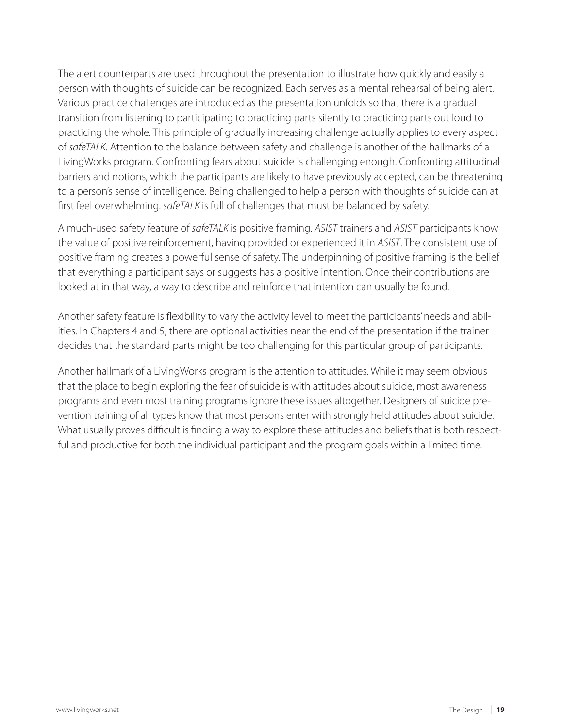The alert counterparts are used throughout the presentation to illustrate how quickly and easily a person with thoughts of suicide can be recognized. Each serves as a mental rehearsal of being alert. Various practice challenges are introduced as the presentation unfolds so that there is a gradual transition from listening to participating to practicing parts silently to practicing parts out loud to practicing the whole. This principle of gradually increasing challenge actually applies to every aspect of *safeTALK*. Attention to the balance between safety and challenge is another of the hallmarks of a LivingWorks program. Confronting fears about suicide is challenging enough. Confronting attitudinal barriers and notions, which the participants are likely to have previously accepted, can be threatening to a person's sense of intelligence. Being challenged to help a person with thoughts of suicide can at first feel overwhelming. *safeTALK* is full of challenges that must be balanced by safety.

A much-used safety feature of *safeTALK* is positive framing. *ASIST* trainers and *ASIST* participants know the value of positive reinforcement, having provided or experienced it in *ASIST*. The consistent use of positive framing creates a powerful sense of safety. The underpinning of positive framing is the belief that everything a participant says or suggests has a positive intention. Once their contributions are looked at in that way, a way to describe and reinforce that intention can usually be found.

Another safety feature is flexibility to vary the activity level to meet the participants' needs and abilities. In Chapters 4 and 5, there are optional activities near the end of the presentation if the trainer decides that the standard parts might be too challenging for this particular group of participants.

Another hallmark of a LivingWorks program is the attention to attitudes. While it may seem obvious that the place to begin exploring the fear of suicide is with attitudes about suicide, most awareness programs and even most training programs ignore these issues altogether. Designers of suicide prevention training of all types know that most persons enter with strongly held attitudes about suicide. What usually proves difficult is finding a way to explore these attitudes and beliefs that is both respectful and productive for both the individual participant and the program goals within a limited time.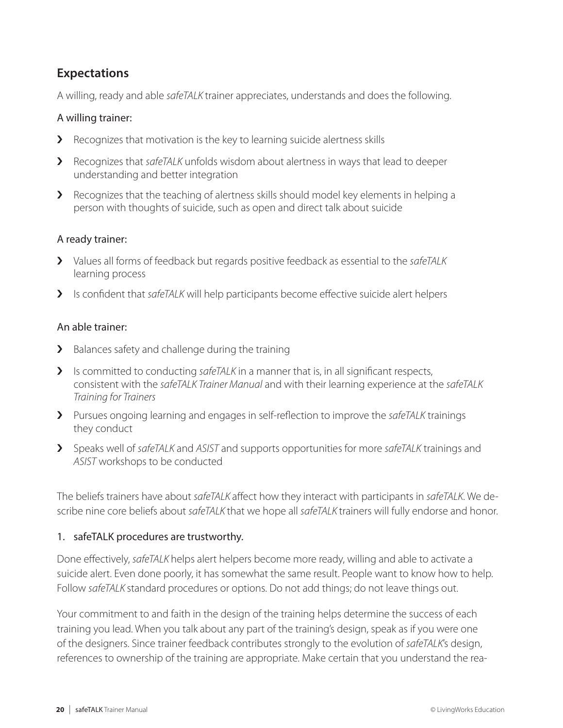## **Expectations**

A willing, ready and able *safeTALK* trainer appreciates, understands and does the following.

#### A willing trainer:

- › Recognizes that motivation is the key to learning suicide alertness skills
- › Recognizes that *safeTALK* unfolds wisdom about alertness in ways that lead to deeper understanding and better integration
- › Recognizes that the teaching of alertness skills should model key elements in helping a person with thoughts of suicide, such as open and direct talk about suicide

#### A ready trainer:

- › Values all forms of feedback but regards positive feedback as essential to the *safeTALK* learning process
- › Is confident that *safeTALK* will help participants become effective suicide alert helpers

#### An able trainer:

- > Balances safety and challenge during the training
- **>** Is committed to conducting *safeTALK* in a manner that is, in all significant respects, consistent with the *safeTALK Trainer Manual* and with their learning experience at the *safeTALK Training for Trainers*
- › Pursues ongoing learning and engages in self-reflection to improve the *safeTALK* trainings they conduct
- › Speaks well of *safeTALK* and *ASIST* and supports opportunities for more *safeTALK* trainings and *ASIST* workshops to be conducted

The beliefs trainers have about *safeTALK* affect how they interact with participants in *safeTALK*. We describe nine core beliefs about *safeTALK* that we hope all *safeTALK* trainers will fully endorse and honor.

#### 1. safeTALK procedures are trustworthy.

Done effectively, *safeTALK* helps alert helpers become more ready, willing and able to activate a suicide alert. Even done poorly, it has somewhat the same result. People want to know how to help. Follow *safeTALK* standard procedures or options. Do not add things; do not leave things out.

Your commitment to and faith in the design of the training helps determine the success of each training you lead. When you talk about any part of the training's design, speak as if you were one of the designers. Since trainer feedback contributes strongly to the evolution of *safeTALK*'s design, references to ownership of the training are appropriate. Make certain that you understand the rea-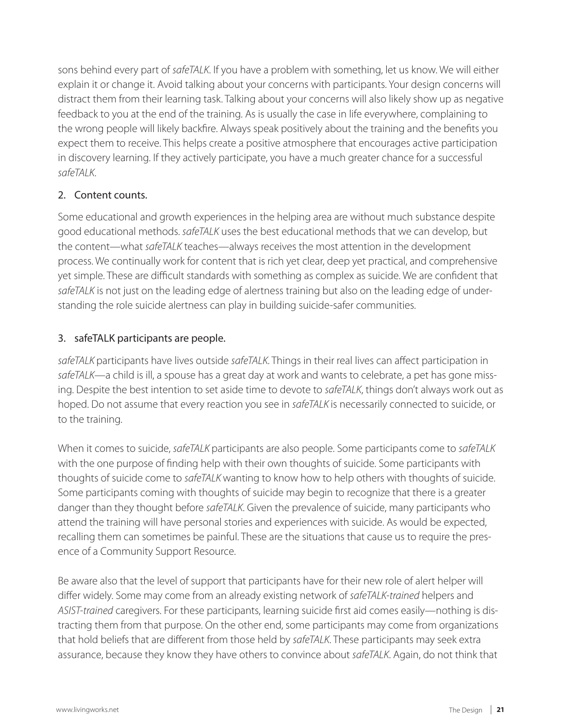sons behind every part of *safeTALK*. If you have a problem with something, let us know. We will either explain it or change it. Avoid talking about your concerns with participants. Your design concerns will distract them from their learning task. Talking about your concerns will also likely show up as negative feedback to you at the end of the training. As is usually the case in life everywhere, complaining to the wrong people will likely backfire. Always speak positively about the training and the benefits you expect them to receive. This helps create a positive atmosphere that encourages active participation in discovery learning. If they actively participate, you have a much greater chance for a successful *safeTALK*.

### 2. Content counts.

Some educational and growth experiences in the helping area are without much substance despite good educational methods. *safeTALK* uses the best educational methods that we can develop, but the content—what *safeTALK* teaches—always receives the most attention in the development process. We continually work for content that is rich yet clear, deep yet practical, and comprehensive yet simple. These are difficult standards with something as complex as suicide. We are confident that *safeTALK* is not just on the leading edge of alertness training but also on the leading edge of understanding the role suicide alertness can play in building suicide-safer communities.

### 3. safeTALK participants are people.

*safeTALK* participants have lives outside *safeTALK*. Things in their real lives can affect participation in *safeTALK*—a child is ill, a spouse has a great day at work and wants to celebrate, a pet has gone missing. Despite the best intention to set aside time to devote to *safeTALK*, things don't always work out as hoped. Do not assume that every reaction you see in *safeTALK* is necessarily connected to suicide, or to the training.

When it comes to suicide, *safeTALK* participants are also people. Some participants come to *safeTALK*  with the one purpose of finding help with their own thoughts of suicide. Some participants with thoughts of suicide come to *safeTALK* wanting to know how to help others with thoughts of suicide. Some participants coming with thoughts of suicide may begin to recognize that there is a greater danger than they thought before *safeTALK*. Given the prevalence of suicide, many participants who attend the training will have personal stories and experiences with suicide. As would be expected, recalling them can sometimes be painful. These are the situations that cause us to require the presence of a Community Support Resource.

Be aware also that the level of support that participants have for their new role of alert helper will differ widely. Some may come from an already existing network of *safeTALK-trained* helpers and *ASIST-trained* caregivers. For these participants, learning suicide first aid comes easily—nothing is distracting them from that purpose. On the other end, some participants may come from organizations that hold beliefs that are different from those held by *safeTALK*. These participants may seek extra assurance, because they know they have others to convince about *safeTALK*. Again, do not think that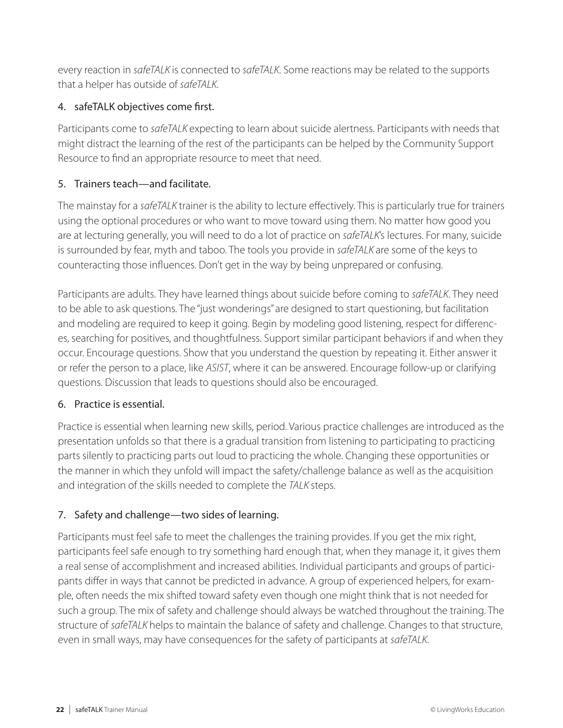every reaction in *safeTALK* is connected to *safeTALK*. Some reactions may be related to the supports that a helper has outside of *safeTALK*.

#### 4. safeTALK objectives come first.

Participants come to *safeTALK* expecting to learn about suicide alertness. Participants with needs that might distract the learning of the rest of the participants can be helped by the Community Support Resource to find an appropriate resource to meet that need.

## 5. Trainers teach—and facilitate.

The mainstay for a *safeTALK* trainer is the ability to lecture effectively. This is particularly true for trainers using the optional procedures or who want to move toward using them. No matter how good you are at lecturing generally, you will need to do a lot of practice on *safeTALK*'s lectures. For many, suicide is surrounded by fear, myth and taboo. The tools you provide in *safeTALK* are some of the keys to counteracting those influences. Don't get in the way by being unprepared or confusing.

Participants are adults. They have learned things about suicide before coming to *safeTALK*. They need to be able to ask questions. The "just wonderings" are designed to start questioning, but facilitation and modeling are required to keep it going. Begin by modeling good listening, respect for differences, searching for positives, and thoughtfulness. Support similar participant behaviors if and when they occur. Encourage questions. Show that you understand the question by repeating it. Either answer it or refer the person to a place, like *ASIST*, where it can be answered. Encourage follow-up or clarifying questions. Discussion that leads to questions should also be encouraged.

#### 6. Practice is essential.

Practice is essential when learning new skills, period. Various practice challenges are introduced as the presentation unfolds so that there is a gradual transition from listening to participating to practicing parts silently to practicing parts out loud to practicing the whole. Changing these opportunities or the manner in which they unfold will impact the safety/challenge balance as well as the acquisition and integration of the skills needed to complete the *TALK* steps.

## 7. Safety and challenge—two sides of learning.

Participants must feel safe to meet the challenges the training provides. If you get the mix right, participants feel safe enough to try something hard enough that, when they manage it, it gives them a real sense of accomplishment and increased abilities. Individual participants and groups of participants differ in ways that cannot be predicted in advance. A group of experienced helpers, for example, often needs the mix shifted toward safety even though one might think that is not needed for such a group. The mix of safety and challenge should always be watched throughout the training. The structure of *safeTALK* helps to maintain the balance of safety and challenge. Changes to that structure, even in small ways, may have consequences for the safety of participants at *safeTALK*.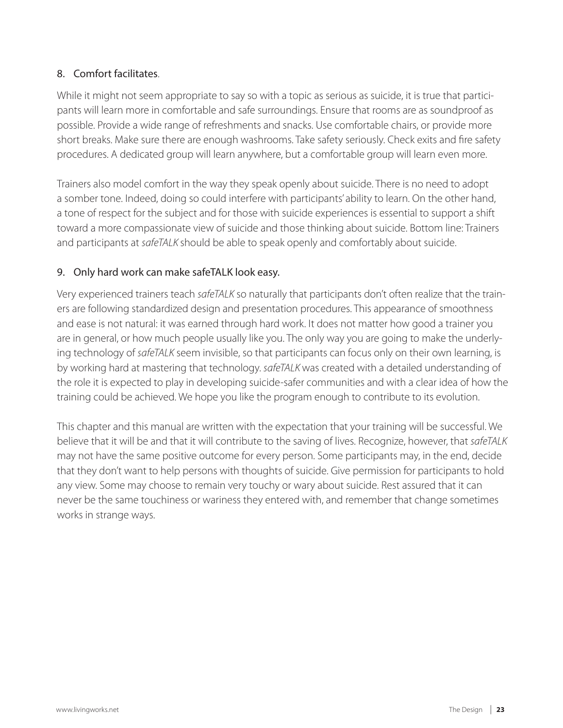#### 8. Comfort facilitates.

While it might not seem appropriate to say so with a topic as serious as suicide, it is true that participants will learn more in comfortable and safe surroundings. Ensure that rooms are as soundproof as possible. Provide a wide range of refreshments and snacks. Use comfortable chairs, or provide more short breaks. Make sure there are enough washrooms. Take safety seriously. Check exits and fire safety procedures. A dedicated group will learn anywhere, but a comfortable group will learn even more.

Trainers also model comfort in the way they speak openly about suicide. There is no need to adopt a somber tone. Indeed, doing so could interfere with participants' ability to learn. On the other hand, a tone of respect for the subject and for those with suicide experiences is essential to support a shift toward a more compassionate view of suicide and those thinking about suicide. Bottom line: Trainers and participants at *safeTALK* should be able to speak openly and comfortably about suicide.

#### 9. Only hard work can make safeTALK look easy.

Very experienced trainers teach *safeTALK* so naturally that participants don't often realize that the trainers are following standardized design and presentation procedures. This appearance of smoothness and ease is not natural: it was earned through hard work. It does not matter how good a trainer you are in general, or how much people usually like you. The only way you are going to make the underlying technology of *safeTALK* seem invisible, so that participants can focus only on their own learning, is by working hard at mastering that technology. *safeTALK* was created with a detailed understanding of the role it is expected to play in developing suicide-safer communities and with a clear idea of how the training could be achieved. We hope you like the program enough to contribute to its evolution.

This chapter and this manual are written with the expectation that your training will be successful. We believe that it will be and that it will contribute to the saving of lives. Recognize, however, that *safeTALK*  may not have the same positive outcome for every person. Some participants may, in the end, decide that they don't want to help persons with thoughts of suicide. Give permission for participants to hold any view. Some may choose to remain very touchy or wary about suicide. Rest assured that it can never be the same touchiness or wariness they entered with, and remember that change sometimes works in strange ways.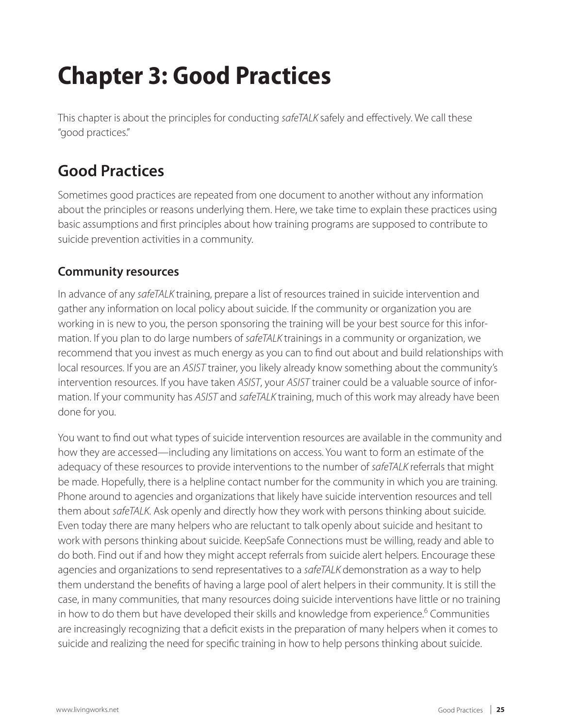# **Chapter 3: Good Practices**

This chapter is about the principles for conducting *safeTALK* safely and effectively. We call these "good practices."

# **Good Practices**

Sometimes good practices are repeated from one document to another without any information about the principles or reasons underlying them. Here, we take time to explain these practices using basic assumptions and first principles about how training programs are supposed to contribute to suicide prevention activities in a community.

## **Community resources**

In advance of any *safeTALK* training, prepare a list of resources trained in suicide intervention and gather any information on local policy about suicide. If the community or organization you are working in is new to you, the person sponsoring the training will be your best source for this information. If you plan to do large numbers of *safeTALK* trainings in a community or organization, we recommend that you invest as much energy as you can to find out about and build relationships with local resources. If you are an *ASIST* trainer, you likely already know something about the community's intervention resources. If you have taken *ASIST*, your *ASIST* trainer could be a valuable source of information. If your community has *ASIST* and *safeTALK* training, much of this work may already have been done for you.

You want to find out what types of suicide intervention resources are available in the community and how they are accessed—including any limitations on access. You want to form an estimate of the adequacy of these resources to provide interventions to the number of *safeTALK* referrals that might be made. Hopefully, there is a helpline contact number for the community in which you are training. Phone around to agencies and organizations that likely have suicide intervention resources and tell them about *safeTALK*. Ask openly and directly how they work with persons thinking about suicide. Even today there are many helpers who are reluctant to talk openly about suicide and hesitant to work with persons thinking about suicide. KeepSafe Connections must be willing, ready and able to do both. Find out if and how they might accept referrals from suicide alert helpers. Encourage these agencies and organizations to send representatives to a *safeTALK* demonstration as a way to help them understand the benefits of having a large pool of alert helpers in their community. It is still the case, in many communities, that many resources doing suicide interventions have little or no training in how to do them but have developed their skills and knowledge from experience.<sup>6</sup> Communities are increasingly recognizing that a deficit exists in the preparation of many helpers when it comes to suicide and realizing the need for specific training in how to help persons thinking about suicide.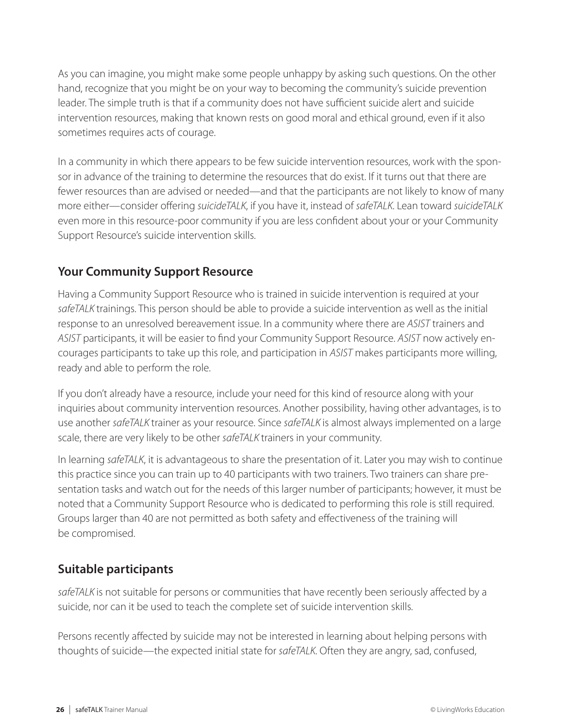As you can imagine, you might make some people unhappy by asking such questions. On the other hand, recognize that you might be on your way to becoming the community's suicide prevention leader. The simple truth is that if a community does not have sufficient suicide alert and suicide intervention resources, making that known rests on good moral and ethical ground, even if it also sometimes requires acts of courage.

In a community in which there appears to be few suicide intervention resources, work with the sponsor in advance of the training to determine the resources that do exist. If it turns out that there are fewer resources than are advised or needed—and that the participants are not likely to know of many more either—consider offering *suicideTALK*, if you have it, instead of *safeTALK*. Lean toward *suicideTALK*  even more in this resource-poor community if you are less confident about your or your Community Support Resource's suicide intervention skills.

## **Your Community Support Resource**

Having a Community Support Resource who is trained in suicide intervention is required at your *safeTALK* trainings. This person should be able to provide a suicide intervention as well as the initial response to an unresolved bereavement issue. In a community where there are *ASIST* trainers and *ASIST* participants, it will be easier to find your Community Support Resource. *ASIST* now actively encourages participants to take up this role, and participation in *ASIST* makes participants more willing, ready and able to perform the role.

If you don't already have a resource, include your need for this kind of resource along with your inquiries about community intervention resources. Another possibility, having other advantages, is to use another *safeTALK* trainer as your resource. Since *safeTALK* is almost always implemented on a large scale, there are very likely to be other *safeTALK* trainers in your community.

In learning *safeTALK*, it is advantageous to share the presentation of it. Later you may wish to continue this practice since you can train up to 40 participants with two trainers. Two trainers can share presentation tasks and watch out for the needs of this larger number of participants; however, it must be noted that a Community Support Resource who is dedicated to performing this role is still required. Groups larger than 40 are not permitted as both safety and effectiveness of the training will be compromised.

## **Suitable participants**

*safeTALK* is not suitable for persons or communities that have recently been seriously affected by a suicide, nor can it be used to teach the complete set of suicide intervention skills.

Persons recently affected by suicide may not be interested in learning about helping persons with thoughts of suicide—the expected initial state for *safeTALK*. Often they are angry, sad, confused,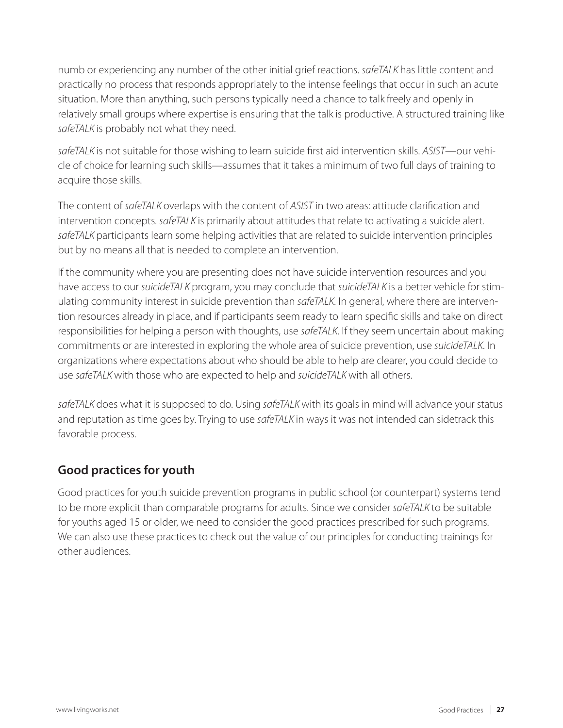numb or experiencing any number of the other initial grief reactions. *safeTALK* has little content and practically no process that responds appropriately to the intense feelings that occur in such an acute situation. More than anything, such persons typically need a chance to talk freely and openly in relatively small groups where expertise is ensuring that the talk is productive. A structured training like *safeTALK* is probably not what they need.

*safeTALK* is not suitable for those wishing to learn suicide first aid intervention skills. *ASIST*—our vehicle of choice for learning such skills—assumes that it takes a minimum of two full days of training to acquire those skills.

The content of *safeTALK* overlaps with the content of *ASIST* in two areas: attitude clarification and intervention concepts. *safeTALK* is primarily about attitudes that relate to activating a suicide alert. *safeTALK* participants learn some helping activities that are related to suicide intervention principles but by no means all that is needed to complete an intervention.

If the community where you are presenting does not have suicide intervention resources and you have access to our *suicideTALK* program, you may conclude that *suicideTALK* is a better vehicle for stimulating community interest in suicide prevention than *safeTALK*. In general, where there are intervention resources already in place, and if participants seem ready to learn specific skills and take on direct responsibilities for helping a person with thoughts, use *safeTALK*. If they seem uncertain about making commitments or are interested in exploring the whole area of suicide prevention, use *suicideTALK*. In organizations where expectations about who should be able to help are clearer, you could decide to use *safeTALK* with those who are expected to help and *suicideTALK* with all others.

*safeTALK* does what it is supposed to do. Using *safeTALK* with its goals in mind will advance your status and reputation as time goes by. Trying to use *safeTALK* in ways it was not intended can sidetrack this favorable process.

## **Good practices for youth**

Good practices for youth suicide prevention programs in public school (or counterpart) systems tend to be more explicit than comparable programs for adults. Since we consider *safeTALK* to be suitable for youths aged 15 or older, we need to consider the good practices prescribed for such programs. We can also use these practices to check out the value of our principles for conducting trainings for other audiences.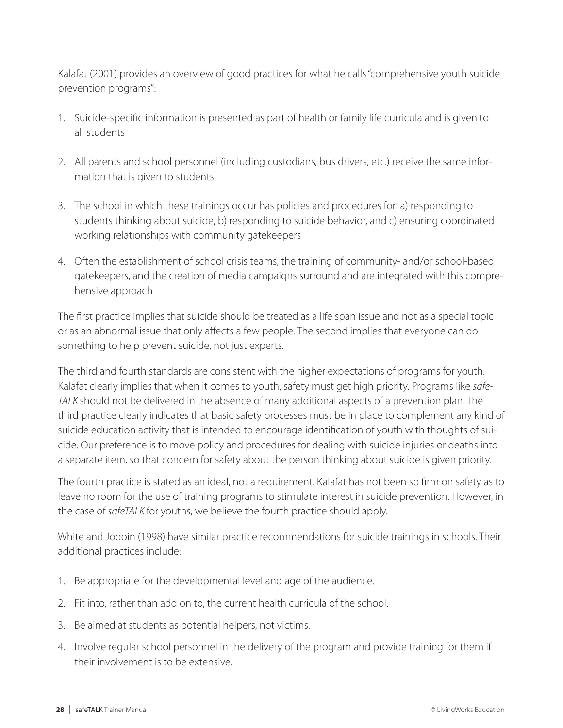Kalafat (2001) provides an overview of good practices for what he calls "comprehensive youth suicide prevention programs":

- 1. Suicide-specific information is presented as part of health or family life curricula and is given to all students
- 2. All parents and school personnel (including custodians, bus drivers, etc.) receive the same information that is given to students
- 3. The school in which these trainings occur has policies and procedures for: a) responding to students thinking about suicide, b) responding to suicide behavior, and c) ensuring coordinated working relationships with community gatekeepers
- 4. Often the establishment of school crisis teams, the training of community- and/or school-based gatekeepers, and the creation of media campaigns surround and are integrated with this comprehensive approach

The first practice implies that suicide should be treated as a life span issue and not as a special topic or as an abnormal issue that only affects a few people. The second implies that everyone can do something to help prevent suicide, not just experts.

The third and fourth standards are consistent with the higher expectations of programs for youth. Kalafat clearly implies that when it comes to youth, safety must get high priority. Programs like *safe-TALK* should not be delivered in the absence of many additional aspects of a prevention plan. The third practice clearly indicates that basic safety processes must be in place to complement any kind of suicide education activity that is intended to encourage identification of youth with thoughts of suicide. Our preference is to move policy and procedures for dealing with suicide injuries or deaths into a separate item, so that concern for safety about the person thinking about suicide is given priority.

The fourth practice is stated as an ideal, not a requirement. Kalafat has not been so firm on safety as to leave no room for the use of training programs to stimulate interest in suicide prevention. However, in the case of *safeTALK* for youths, we believe the fourth practice should apply.

White and Jodoin (1998) have similar practice recommendations for suicide trainings in schools. Their additional practices include:

- 1. Be appropriate for the developmental level and age of the audience.
- 2. Fit into, rather than add on to, the current health curricula of the school.
- 3. Be aimed at students as potential helpers, not victims.
- 4. Involve regular school personnel in the delivery of the program and provide training for them if their involvement is to be extensive.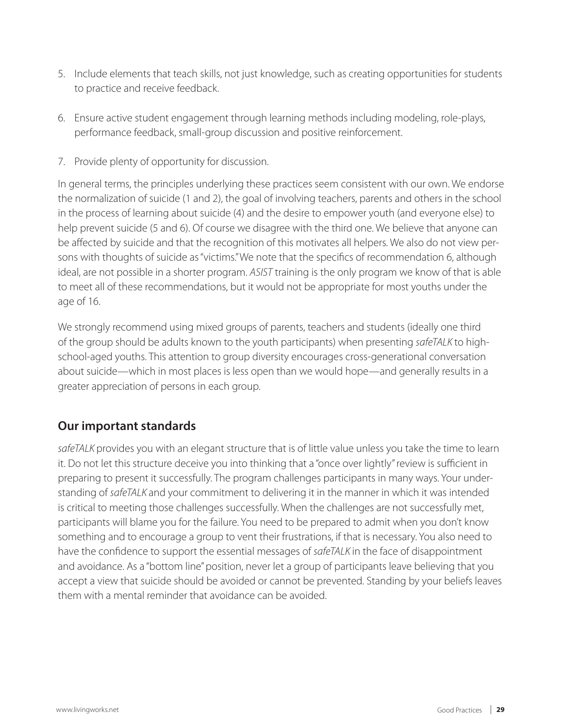- 5. Include elements that teach skills, not just knowledge, such as creating opportunities for students to practice and receive feedback.
- 6. Ensure active student engagement through learning methods including modeling, role-plays, performance feedback, small-group discussion and positive reinforcement.
- 7. Provide plenty of opportunity for discussion.

In general terms, the principles underlying these practices seem consistent with our own. We endorse the normalization of suicide (1 and 2), the goal of involving teachers, parents and others in the school in the process of learning about suicide (4) and the desire to empower youth (and everyone else) to help prevent suicide (5 and 6). Of course we disagree with the third one. We believe that anyone can be affected by suicide and that the recognition of this motivates all helpers. We also do not view persons with thoughts of suicide as "victims." We note that the specifics of recommendation 6, although ideal, are not possible in a shorter program. *ASIST* training is the only program we know of that is able to meet all of these recommendations, but it would not be appropriate for most youths under the age of 16.

We strongly recommend using mixed groups of parents, teachers and students (ideally one third of the group should be adults known to the youth participants) when presenting *safeTALK* to highschool-aged youths. This attention to group diversity encourages cross-generational conversation about suicide—which in most places is less open than we would hope—and generally results in a greater appreciation of persons in each group.

## **Our important standards**

*safeTALK* provides you with an elegant structure that is of little value unless you take the time to learn it. Do not let this structure deceive you into thinking that a "once over lightly" review is sufficient in preparing to present it successfully. The program challenges participants in many ways. Your understanding of *safeTALK* and your commitment to delivering it in the manner in which it was intended is critical to meeting those challenges successfully. When the challenges are not successfully met, participants will blame you for the failure. You need to be prepared to admit when you don't know something and to encourage a group to vent their frustrations, if that is necessary. You also need to have the confidence to support the essential messages of *safeTALK* in the face of disappointment and avoidance. As a "bottom line" position, never let a group of participants leave believing that you accept a view that suicide should be avoided or cannot be prevented. Standing by your beliefs leaves them with a mental reminder that avoidance can be avoided.